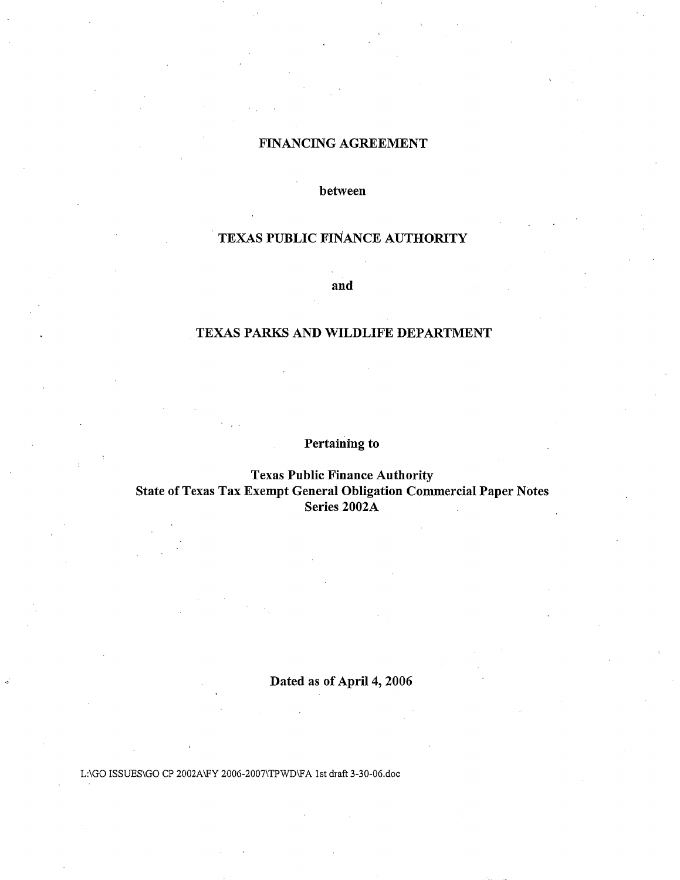### FINANCING AGREEMENT

between

# TEXAS PUBLIC FINANCE AUTHORITY

and

# . TEXAS PARKS AND WILDLIFE DEPARTMENT

# Pertaining to

### Texas Public Finance Authority State of Texas Tax Exempt General Obligation Commercial Paper Notes Series 2002A

# Dated as of April 4, 2006

L:\GO ISSUES\GO CP 2002A\FY 2006-2007\TPWD\FA 1st draft 3-30-06.doc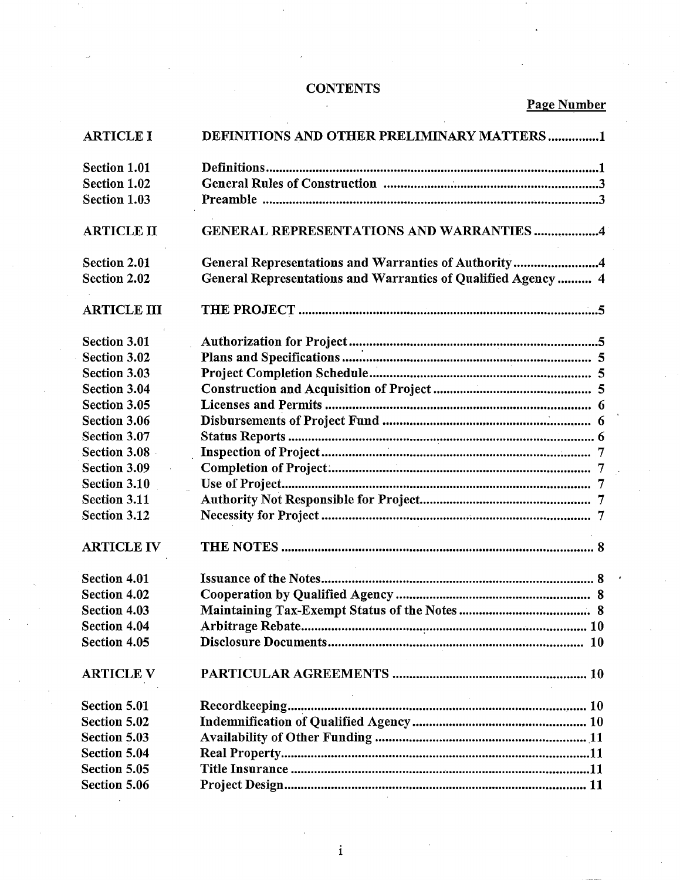# **CONTENTS**

# Page Number

| <b>ARTICLE I</b>    | DEFINITIONS AND OTHER PRELIMINARY MATTERS1                    |
|---------------------|---------------------------------------------------------------|
| Section 1.01        |                                                               |
| Section 1.02        |                                                               |
| <b>Section 1.03</b> |                                                               |
|                     |                                                               |
| <b>ARTICLE II</b>   | <b>GENERAL REPRESENTATIONS AND WARRANTIES 4</b>               |
| <b>Section 2.01</b> | General Representations and Warranties of Authority4          |
| <b>Section 2.02</b> | General Representations and Warranties of Qualified Agency  4 |
| <b>ARTICLE III</b>  |                                                               |
| <b>Section 3.01</b> |                                                               |
| Section 3.02        |                                                               |
| <b>Section 3.03</b> |                                                               |
| <b>Section 3.04</b> |                                                               |
| Section 3.05        |                                                               |
| Section 3.06        |                                                               |
| <b>Section 3.07</b> |                                                               |
| Section 3.08        |                                                               |
| <b>Section 3.09</b> |                                                               |
| <b>Section 3.10</b> |                                                               |
| <b>Section 3.11</b> |                                                               |
| <b>Section 3.12</b> |                                                               |
| <b>ARTICLE IV</b>   |                                                               |
| <b>Section 4.01</b> |                                                               |
| Section 4.02        |                                                               |
| Section 4.03        |                                                               |
| Section 4.04        |                                                               |
| Section 4.05        |                                                               |
| <b>ARTICLE V</b>    |                                                               |
| <b>Section 5.01</b> |                                                               |
| <b>Section 5.02</b> |                                                               |
| <b>Section 5.03</b> |                                                               |
| <b>Section 5.04</b> |                                                               |
| Section 5.05        |                                                               |
| Section 5.06        |                                                               |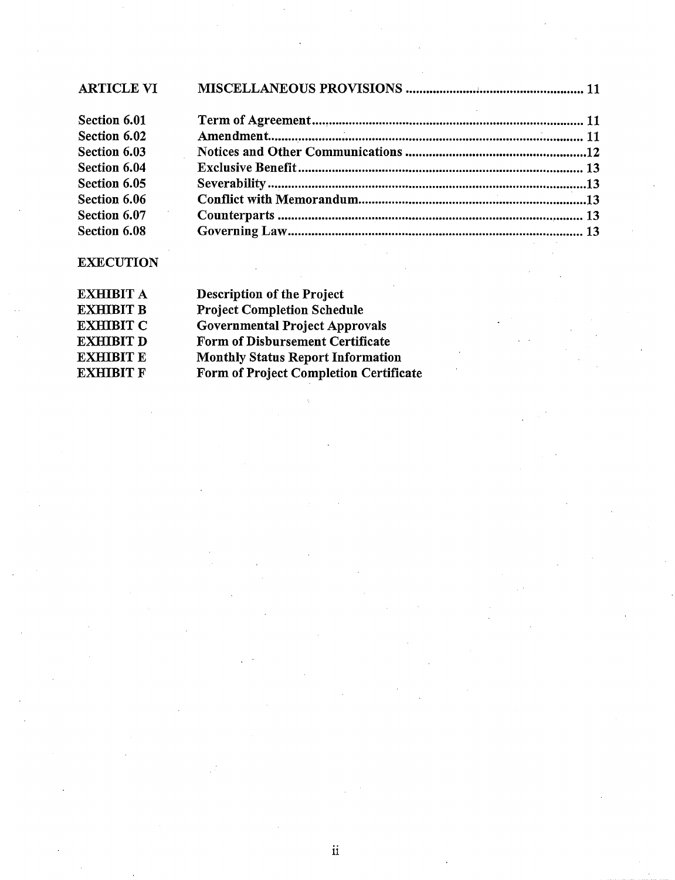| <b>ARTICLE VI</b> |                                                             |  |
|-------------------|-------------------------------------------------------------|--|
| Section 6.01      |                                                             |  |
| Section 6.02      |                                                             |  |
| Section 6.03      |                                                             |  |
| Section 6.04      |                                                             |  |
| Section 6.05      |                                                             |  |
| Section 6.06      |                                                             |  |
| Section 6.07      |                                                             |  |
| Section 6.08      | 이 사이에 대한 사이를 하는 것이 아니라 이 사이에 대한 사이를 하는 것이 아니라 이 사이를 하는 것이다. |  |

# **EXECUTION**

| <b>EXHIBIT A</b> | <b>Description of the Project</b>        |
|------------------|------------------------------------------|
| <b>EXHIBIT B</b> | <b>Project Completion Schedule</b>       |
| <b>EXHIBIT C</b> | <b>Governmental Project Approvals</b>    |
| <b>EXHIBIT D</b> | Form of Disbursement Certificate         |
| <b>EXHIBIT E</b> | <b>Monthly Status Report Information</b> |
| <b>EXHIBIT F</b> | Form of Project Completion Certificate   |
|                  |                                          |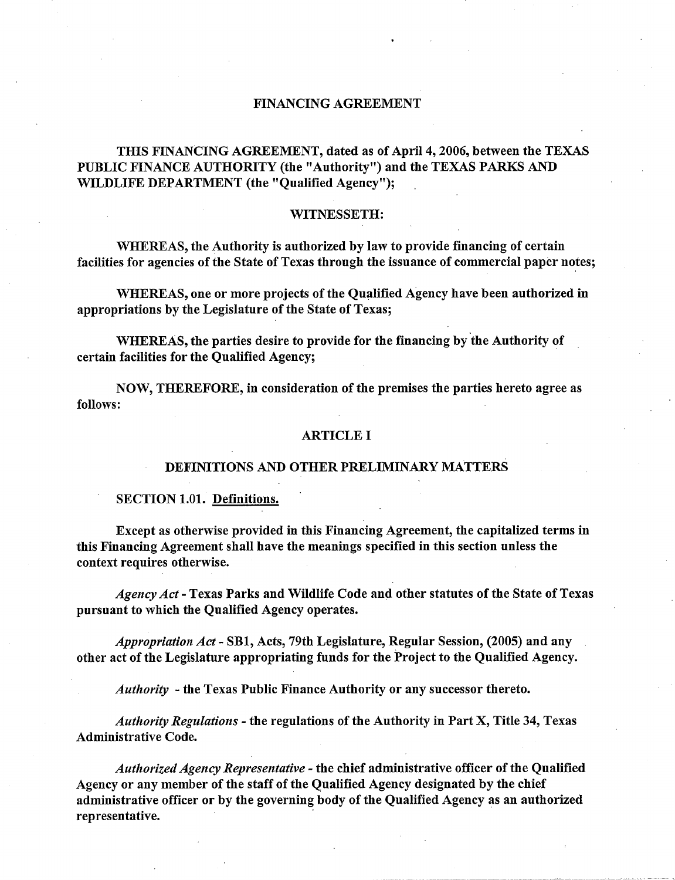#### FINANCING AGREEMENT

### THIS FINANCING AGREEMENT, dated as of April 4, 2006, between the TEXAS PUBLIC FINANCE AUTHORITY (the "Authority") and the TEXAS PARKS AND WILDLIFE DEPARTMENT (the "Qualified Agency");

#### WITNESSETH:

WHEREAS, the Authority is authorized by law to provide financing of certain facilities for agencies of the State of Texas through the issuance of commercial paper notes;

WHEREAS, one or more projects of the Qualified Agency have been authorized in appropriations by the Legislature of the State of Texas;

WHEREAS, the parties desire to provide for the financing by the Authority of certain facilities for the Qualified Agency;

NOW, THEREFORE, in consideration of the premises the parties hereto agree as follows:

#### ARTICLE I

#### DEFINITIONS AND OTHER PRELIMINARY MATTERS

#### SECTION 1.01. Definitions.

Except as otherwise provided in this Financing Agreement, the capitalized terms in this Financing Agreement shall have the meanings specified in this section unless the context requires otherwise.

*Agency Act-* Texas Parks and Wildlife Code and other statutes of the State of Texas pursuant to which the Qualified Agency operates.

*Appropriation Act-* SBl, Acts, 79th Legislature, Regular Session, (2005) and any other act of the Legislature appropriating funds for the Project to the Qualified Agency.

*Authority* -the Texas Public Finance Authority or any successor thereto.

*Authority Regulations* - the regulations of the Authority in Part X, Title 34, Texas Administrative Code.

*Authorized Agency Representative* - the chief administrative officer of the Qualified Agency or any member of the staff of the Qualified Agency designated by the chief administrative officer or by the governing body of the Qualified Agency as an authorized representative.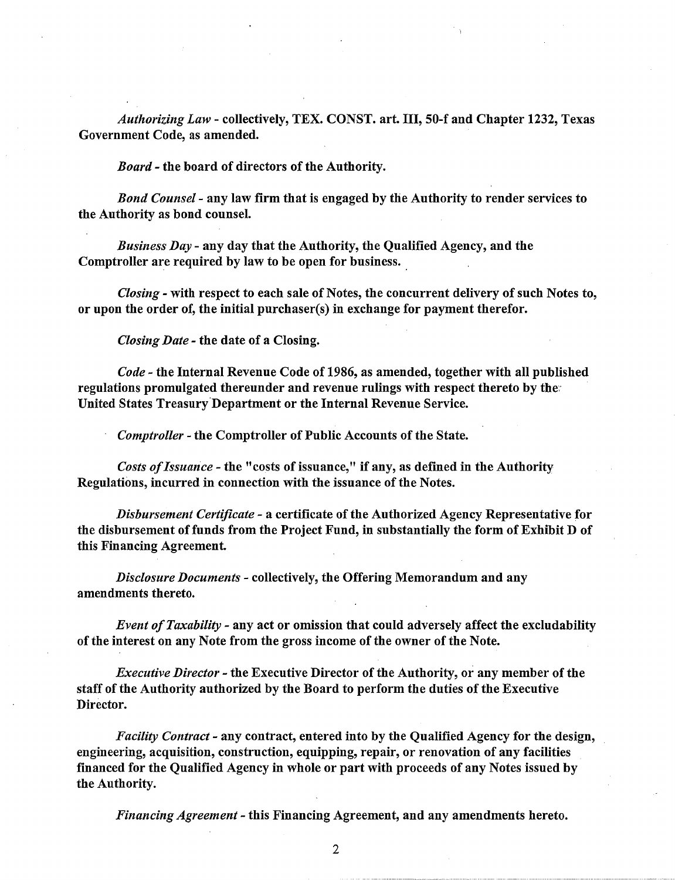*Authorizing Law-* collectively, TEX. CONST. art. III, 50-f and Chapter 1232, Texas Government Code, as amended.

*Board-* the board of directors of the Authority.

*Bond Counsel-* any law firm that is engaged by the Authority to render services to the Authority as bond counsel.

*Business Day-* any day that the Authority, the Qualified Agency, and the Comptroller are required by law to be open for business.

*Closing-* with respect to each sale of Notes, the concurrent delivery of such Notes to, or upon the order of, the initial purchaser(s) in exchange for payment therefor.

*Closing Date-* the date of a Closing.

*Code-* the Internal Revenue Code of 1986, as amended, together with all published regulations promulgated thereunder and revenue rulings with respect thereto by the United States Treasury.Department or the Internal Revenue Service.

*Comptroller* - the Comptroller of Public Accounts of the State.

*Costs of Issuance* - the "costs of issuance," if any, as defined in the Authority Regulations, incurred in connection with the issuance of the Notes.

*Disbursement Certificate-* a certificate of the Authorized Agency Representative for the disbursement of funds from the Project Fund, in substantially the form of Exhibit D of this Financing Agreement.

*Disclosure Documents* - collectively, the Offering Memorandum and any amendments thereto.

*Event of Taxability* - any act or omission that could adversely affect the excludability of the interest on any Note from the gross income of the owner of the Note.

*Executive Director-* the Executive Director of the Authority, or any member of the staff of the Authority authorized by the Board to perform the duties of the Executive Director.

*Facility Contract-* any contract, entered into by the Qualified Agency for the design, engineering, acquisition, construction, equipping, repair, or renovation of any facilities financed for the Qualified Agency in whole or part with proceeds of any Notes issued by the Authority.

*Financing Agreement-* this Financing Agreement, and any amendments hereto.

2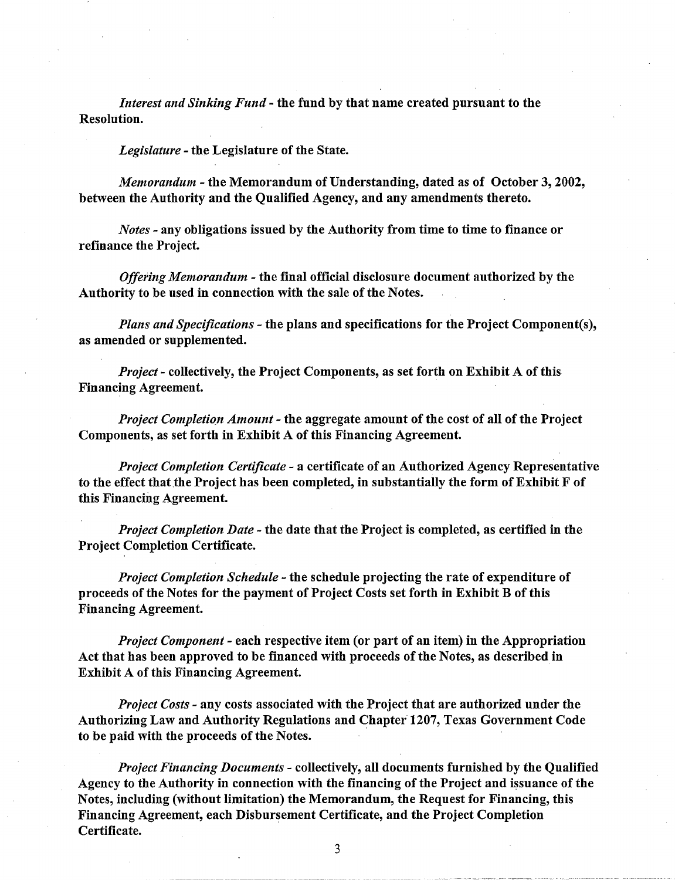*Interest and Sinking Fund-* the fund by that name created pursuant to the Resolution.

*Legislature* - the Legislature of the State.

*Memorandum* - the Memorandum of Understanding, dated as of October 3, 2002, between the Authority and the Qualified Agency, and any amendments thereto.

*Notes* - any obligations issued by the Authority from time to time to finance or refinance the Project.

*Offering Memorandum* - the final official disclosure document authorized by the Authority to be used in connection with the sale of the Notes.

*Plans and Specifications-* the plans and specifications for the Project Component(s), as amended or supplemented.

*Project-* collectively, the Project Components, as set forth on Exhibit A of this Financing Agreement.

*Project Completion Amount* - the aggregate amount of the cost of all of the Project Components, as set forth in Exhibit A of this Financing Agreement.

*Project Completion Certificate* - a certificate of an Authorized Agency Representative to the effect that the Project has been completed, in substantially the form of Exhibit F of this Financing Agreement.

*Project Completion Date* - the date that the Project is completed, as certified in the Project Completion Certificate.

*Project Completion Schedule-* the schedule projecting the rate of expenditure of proceeds of the Notes for the payment of Project Costs set forth in Exhibit B of this Financing Agreement.

*Project Component* - each respective item (or part of an item) in the Appropriation Act that has been approved to be financed with proceeds of the Notes, as described in Exhibit A of this Financing Agreement.

*Project Costs-* any costs associated with the Project that are authorized under the Authorizing Law and Authority Regulations and Chapter 1207, Texas Government Code to be paid with the proceeds of the Notes.

*Project Financing Documents-* collectively, all documents furnished by the Qualified Agency to the Authority in connection with the financing of the Project and issuance of the Notes, including (without limitation) the Memorandum, the Request for Financing, this Financing Agreement, each Disbursement Certificate, and the Project Completion Certificate.

3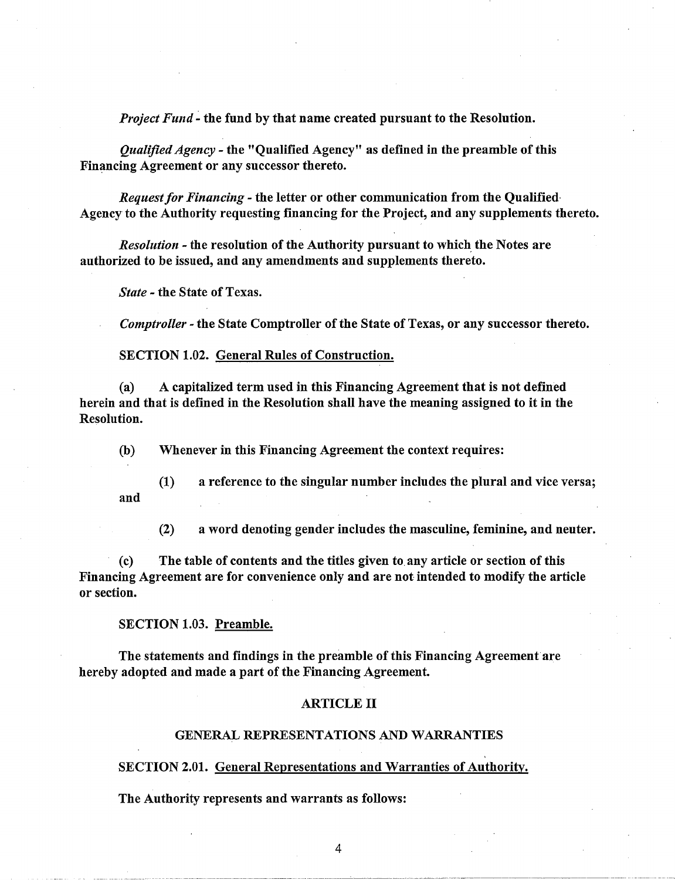*Project Fund-* the fund by that name created pursuant to the Resolution.

*Qualified Agency-* the "Qualified Agency" as defined in the preamble of this Financing Agreement or any successor thereto.

*Request for Financing-* the letter or other communication from the Qualified· Agency to the Authority requesting financing for the Project, and any supplements thereto.

*Resolution* - the resolution of the Authority pursuant to which the Notes are authorized to be issued, and any amendments and supplements thereto.

*State* - the State of Texas.

*Comptroller* - the State Comptroller of the State of Texas, or any successor thereto.

SECTION 1.02. General Rules of Construction.

(a) A capitalized term used in this Financing Agreement that is not defined herein and that is defined in the Resolution shall have the meaning assigned to it in the Resolution.

(b) Whenever in this Financing Agreement the context requires:

(1) a reference to the singular number includes the plural and vice versa; and

(2) a word denoting gender includes the masculine, feminine, and neuter.

(c) The table of contents and the titles given to any article or section of this Financing Agreement are for convenience only and are not intended to modify the article or section.

#### SECTION 1.03. Preamble.

The statements and findings in the preamble of this Financing Agreement are hereby adopted and made a part of the Financing Agreement.

#### ARTICLE II

#### GENERAL REPRESENTATIONS AND WARRANTIES

#### SECTION 2.01. General Representations and Warranties of Authority.

The Authority represents and warrants as follows: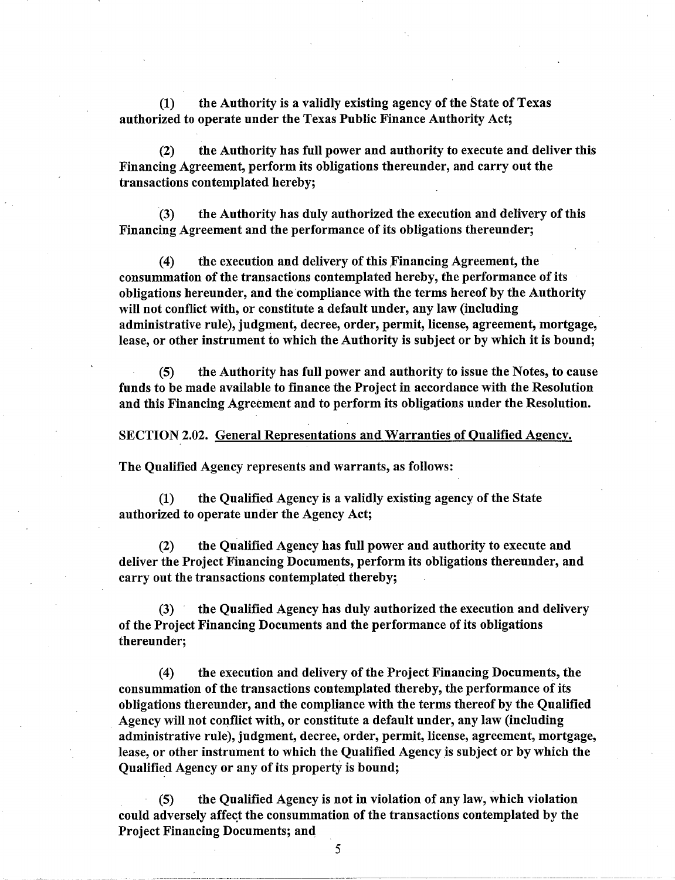(1) the Authority is a validly existing agency of the State of Texas authorized to operate under the Texas Public Finance Authority Act;

(2) the Authority has full power and authority to execute and deliver this Financing Agreement, perform its obligations thereunder, and carry out the transactions contemplated hereby;

(3) the Authority has duly authorized the execution and delivery of this Financing Agreement and the performance of its obligations thereunder;

 $(4)$  the execution and delivery of this Financing Agreement, the consummation of the transactions contemplated hereby, the performance of its obligations hereunder, and the compliance with the terms hereof by the Authority will not conflict with, or constitute a default under, any law (including administrative rule), judgment, decree, order, permit, license, agreement, mortgage, lease, or other instrument to which the Authority is subject or by which it is bound;

(5) the Authority has full power and authority to issue the Notes, to cause funds to be made available to finance the Project in accordance with the Resolution and this Financing Agreement and to perform its obligations under the Resolution.

SECTION 2.02. General Representations and Warranties of Qualified Agency.

The Qualified Agency represents and warrants, as follows:

(1) the Qualified Agency is a validly existing agency of the State authorized to operate under the Agency Act;

(2) the Qualified Agency has full power and authority to execute and deliver the Project Financing Documents, perform its obligations thereunder, and carry out the transactions contemplated thereby;

(3) the Qualified Agency has duly authorized the execution and delivery of the Project Financing Documents and the performance of its obligations thereunder;

(4) the execution and delivery of the Project Financing Documents, the consummation of the transactions contemplated thereby, the performance of its obligations thereunder, and the compliance with the terms thereof by the Qualified Agency will not conflict with, or constitute a default under, any law (including administrative rule), judgment, decree, order, permit, license, agreement, mortgage, lease, or other instrument to which the Qualified Agency is subject or by which the Qualified Agency or any of its property is bound;

(5) the Qualified Agency is not in violation of any law, which violation could adversely affect the consummation of the transactions contemplated by the Project Financing Documents; and

5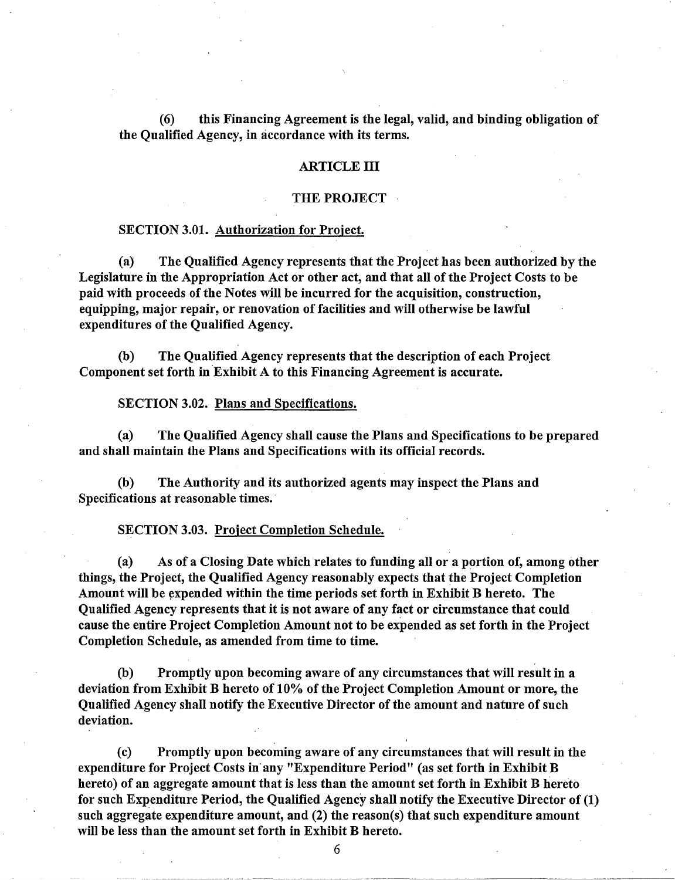(6) this Financing Agreement is the legal, valid, and binding obligation of the Qualified Agency, in accordance with its terms.

#### ARTICLE III

#### THE PROJECT

#### SECTION 3.01. Authorization for Project.

(a) The Qualified Agency represents that the Project has been authorized by the Legislature in the Appropriation Act or other act, and that all of the Project Costs to be paid with proceeds of the Notes will be incurred for the acquisition, construction, equipping, major repair, or renovation of facilities and will otherwise be lawful expenditures of the Qualified Agency.

(b) The Qualified Agency represents that the description of each Project Component set forth in Exhibit A to this Financing Agreement is accurate.

SECTION 3.02. Plans and Specifications.

(a) The Qualified Agency shall cause the Plans and Specifications to be prepared and shall maintain the Plans and Specifications with its official records.

(b) The Authority and its authorized agents may inspect the Plans and Specifications at reasonable times.

SECTION 3.03. Project Completion Schedule.

(a) As of a Closing Date which relates to funding all or a portion of, among other things, the Project, the Qualified Agency reasonably expects that the Project Completion Amount will be expended within the time periods set forth in Exhibit B hereto. The Qualified Agency represents that it is not aware of any fact or circumstance that could cause the entire Project Completion Amount not to be expended as set forth in the Project Completion Schedule, as amended from time to time.

(b) Promptly upon becoming aware of any circumstances that will result in a deviation from Exhibit B hereto of 10% of the Project Completion Amount or more, the Qualified Agency shall notify the Executive Director of the amount and nature of such deviation.

(c) Promptly upon becoming aware of any circumstances that will result in the expenditure for Project Costs in· any "Expenditure Period" (as set forth in Exhibit B hereto) of an aggregate amount that is less than the amount set forth in Exhibit B hereto for such Expenditure Period, the Qualified Agency shall notify the Executive Director of (1) such aggregate expenditure amount, and (2) the reason(s) that such expenditure amount will be less than the amount set forth in Exhibit B hereto.

6

. ----·---------·-··---·--- --------··--··----~~~~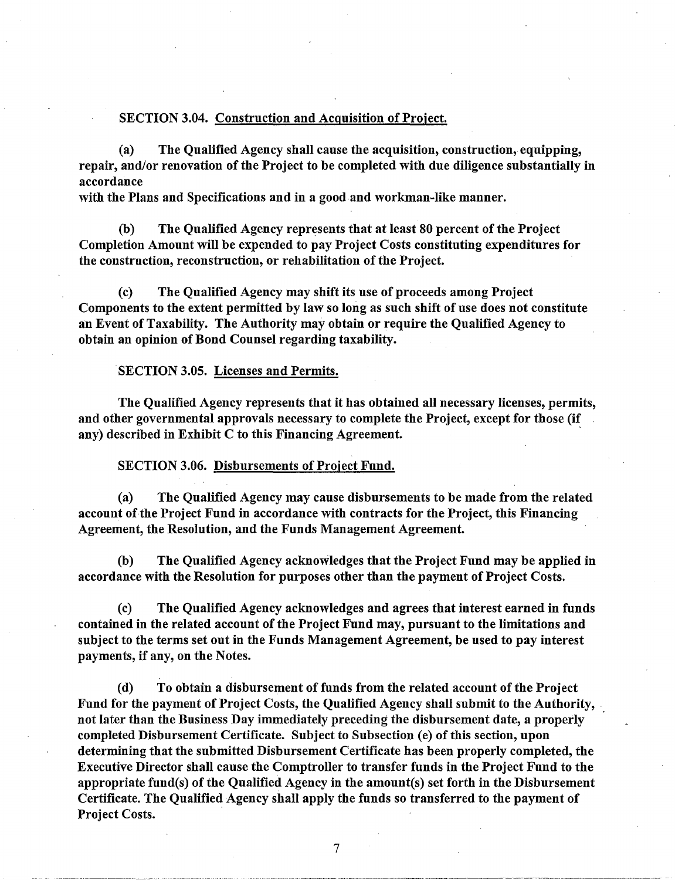#### SECTION 3.04. Construction and Acquisition of Project.

(a) The Qualified Agency shall cause the acquisition, construction, equipping, repair, and/or renovation of the Project to be completed with due diligence substantially in accordance

with the Plans and Specifications and in a good-and workman-like manner.

(b) The Qualified Agency represents that at least 80 percent of the Project Completion Amount will be expended to pay Project Costs constituting expenditures for the construction, reconstruction, or rehabilitation of the Project.

(c) The Qualified Agency may shift its use of proceeds among Project Components to the extent permitted by law so long as such shift of use does not constitute an Event of Taxability. The Authority may obtain or require the Qualified Agency to obtain an opinion of Bond Counsel regarding taxability.

#### SECTION 3.05. Licenses and Permits.

The Qualified Agency represents that it has obtained all necessary licenses, permits, and other governmental approvals necessary to complete the Project, except for those (if any) described in Exhibit C to this Financing Agreement.

#### SECTION 3.06. Disbursements of Project Fund.

(a) The Qualified Agency may cause disbursements to be made from the related account of the Project Fund in accordance with contracts for the Project, this Financing Agreement, the Resolution, and the Funds Management Agreement.

(b) The Qualified Agency acknowledges that the Project Fund may be applied in accordance with the Resolution for purposes other than the payment of Project Costs.

(c) The Qualified Agency acknowledges and agrees that interest earned in funds contained in the related account of the Project Fund may, pursuant to the limitations and subject to the terms set out in the Funds Management Agreement, be used to pay interest payments, if any, on the Notes.

(d) To obtain a disbursement of funds from the related account of the Project Fund for the payment of Project Costs, the Qualified Agency shall submit to the Authority, not later than the Business Day immediately preceding the disbursement date, a properly completed Disbursement Certificate. Subject to Subsection (e) of this section, upon determining that the submitted Disbursement Certificate has been properly completed, the Executive Director shall cause the Comptroller to transfer funds in the Project Fund to the appropriate fund(s) of the Qualified Agency in the amount(s) set forth in the Disbursement Certificate. The Qualified Agency shall apply the funds so transferred to the payment of Project Costs.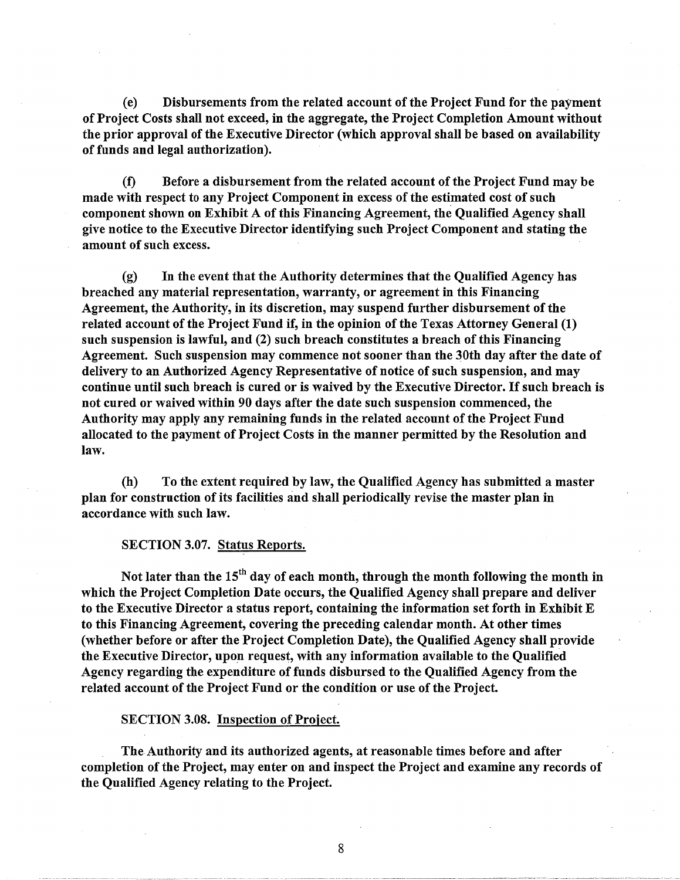(e) Disbursements from the related account of the Project Fund for the payment of Project Costs shall not exceed, in the aggregate, the Project Completion Amount without the prior approval of the Executive Director (which approval shall be based on availability of funds and legal authorization).

(f) Before a disbursement from the related account of the Project Fund may be made with respect to any Project Component in excess of the estimated cost of such component shown on Exhibit A of this Financing Agreement, the Qualified Agency shall give notice to the Executive Director identifying such Project Component and stating the amount of such excess.

(g) In the event that the Authority determines that the Qualified Agency has breached any material representation, warranty, or agreement in this Financing Agreement, the Authority, in its discretion, may suspend further disbursement of the related account of the Project Fund if, in the opinion of the Texas Attorney General (1) such suspension is lawful, and (2) such breach constitutes a breach of this Financing Agreement. Such suspension may commence not sooner than the 30th day after the date of delivery to an Authorized Agency Representative of notice of such suspension, and may continue until such breach is cured or is waived by the Executive Director. If such breach is not cured or waived within 90 days after the date such suspension commenced, the Authority may apply any remaining funds in the related account of the Project Fund allocated to the payment of Project Costs in the manner permitted by the Resolution and law.

(h) To the extent required by law, the Qualified Agency has submitted a master plan for construction of its facilities and shall periodically revise the master plan in accordance with such law.

SECTION 3.07. Status Reports.

Not later than the  $15<sup>th</sup>$  day of each month, through the month following the month in which the Project Completion Date occurs, the Qualified Agency shall prepare and deliver to the Executive Director a status report, containing the information set forth in Exhibit E to this Financing Agreement, covering the preceding calendar month. At other times (whether before or after the Project Completion Date), the Qualified Agency shall provide the Executive Director, upon request, with any information available to the Qualified Agency regarding the expenditure of funds disbursed to the Qualified Agency from the related account of the Project Fund or the condition or use of the Project.

SECTION 3.08. Inspection of Project.

The Authority and its authorized agents, at reasonable times before and after completion of the Project, may enter on and inspect the Project and examine any records of the Qualified Agency relating to the Project.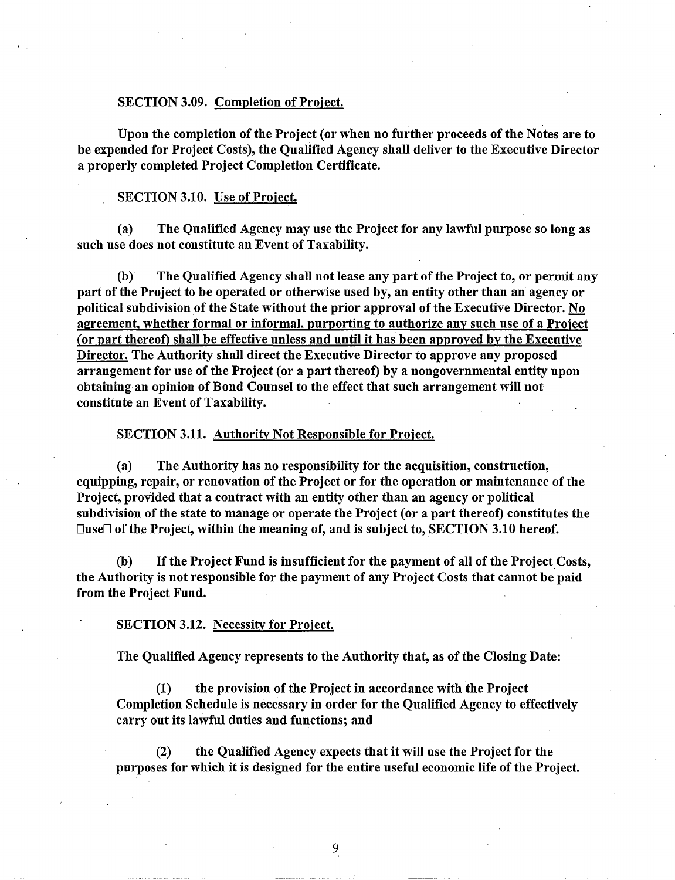#### SECTION 3.09. Completion of Project.

Upon the completion of the Project (or when no further proceeds of the Notes are to be expended for Project Costs), the Qualified Agency shall deliver to the Executive Director a properly completed Project Completion Certificate.

#### SECTION 3.10. Use of Project.

(a) . The Qualified Agency may use the Project for any lawful purpose so long as such use does not constitute an Event of Taxability.

(b) The Qualified Agency shall not lease any part of the Project to, or permit any part of the Project to be operated or otherwise used by, an entity other than an agency or political subdivision of the State without the prior approval of the Executive Director. No agreement, whether formal or informal, purporting to authorize any such use of a Project (or part thereof) shall be effective unless and until it has been approved by the Executive Director. The Authority shall direct the Executive Director to approve any proposed arrangement for use of the Project (or a part thereof) by a nongovernmental entity upon obtaining an opinion of Bond Counsel to the effect that such arrangement will not constitute an Event of Taxability.

SECTION 3.11. Authority Not Responsible for Project.

(a) The Authority has no responsibility for the acquisition, construction,, equipping, repair, or renovation of the Project or for the operation or maintenance of the Project, provided that a contract with an entity other than an agency or political subdivision of the state to manage or operate the Project (or a part thereof) constitutes the  $\square$ use $\square$  of the Project, within the meaning of, and is subject to, SECTION 3.10 hereof.

(b) If the Project Fund is insufficient for the payment of all of the Project Costs, the Authority is not responsible for the payment of any Project Costs that cannot be paid from the Project Fund.

#### SECTION 3.12. Necessity for Project.

The Qualified Agency represents to the Authority that, as of the Closing Date:

(1) the provision of the Project in accordance with the Project Completion Schedule is necessary in order for the Qualified Agency to effectively carry out its lawful duties and functions; and

(2) the Qualified Agency expects that it will use the Project for the purposes for which it is designed for the entire useful economic life of the Project.

9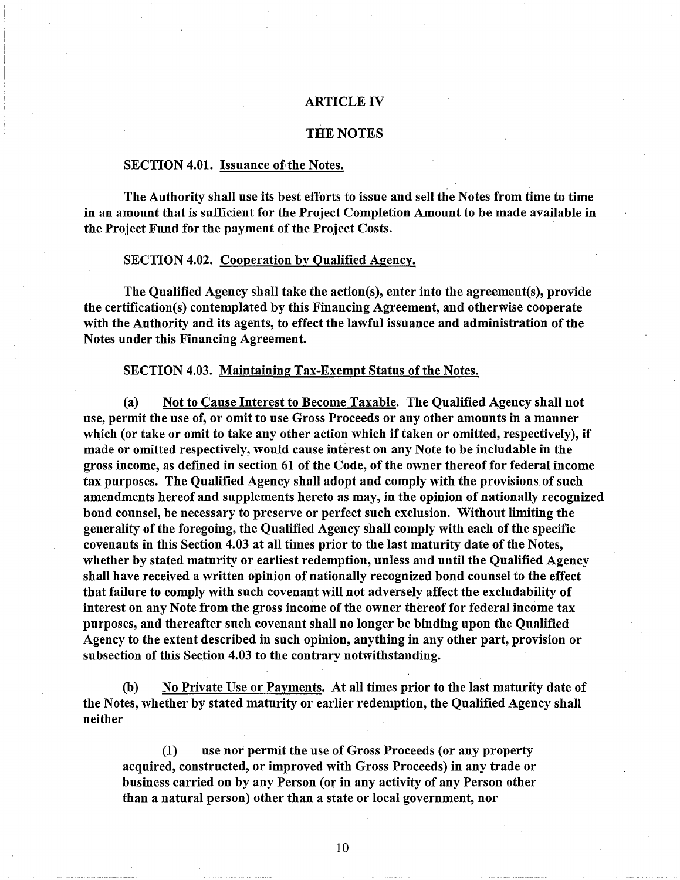#### ARTICLE IV

#### THE NOTES

#### SECTION 4.01. Issuance of the Notes.

The Authority shall use its best efforts to issue and sell the Notes from time to time in an amount that is sufficient for the Project Completion Amount to be made available in the Project Fund for the payment of the Project Costs.

#### SECTION 4.02. Cooperation by Qualified Agency.

The Qualified Agency shall take the action(s), enter into the agreement(s), provide the certification(s) contemplated by this Financing Agreement, and otherwise cooperate with the Authority and its agents, to effect the lawful issuance and administration of the Notes under this Financing Agreement.

SECTION 4.03. Maintaining Tax-Exempt Status of the Notes.

(a) Not to Cause Interest to Become Taxable. The Qualified Agency shall not use, permit the use of, or omit to use Gross Proceeds or any other amounts in a manner which (or take or omit to take any other action which if taken or omitted, respectively), if made or omitted respectively, would cause interest on any Note to be includable in the gross income, as defined in section 61 of the Code, of the owner thereof for federal income tax purposes. The Qualified Agency shall adopt and comply with the provisions of such amendments hereof and supplements hereto as may, in the opinion of nationally recognized bond counsel, be necessary to preserve or perfect such exclusion. Without limiting the generality of the foregoing, the Qualified Agency shall comply with each of the specific covenants in this Section 4.03 at all times prior to the last maturity date of the Notes, whether by stated maturity or earliest redemption, unless and until the Qualified Agency shall have received a written opinion of nationally recognized bond counsel to the effect that failure to comply with such covenant will not adversely affect the excludability of interest on any Note from the gross income of the owner thereof for federal income tax purposes, and thereafter such covenant shall no longer be binding upon the Qualified Agency to the extent described in such opinion, anything in any other part, provision or subsection of this Section 4.03 to the contrary notwithstanding.

(b) No Private Use or Payments. At all times prior to the last maturity date of the Notes, whether by stated maturity or earlier redemption, the Qualified Agency shall neither

(1) use nor permit the use of Gross Proceeds (or any property acquired, constructed, or improved with Gross Proceeds) in any trade or business carried on by any Person (or in any activity of any Person other than a natural person) other than a state or local government, nor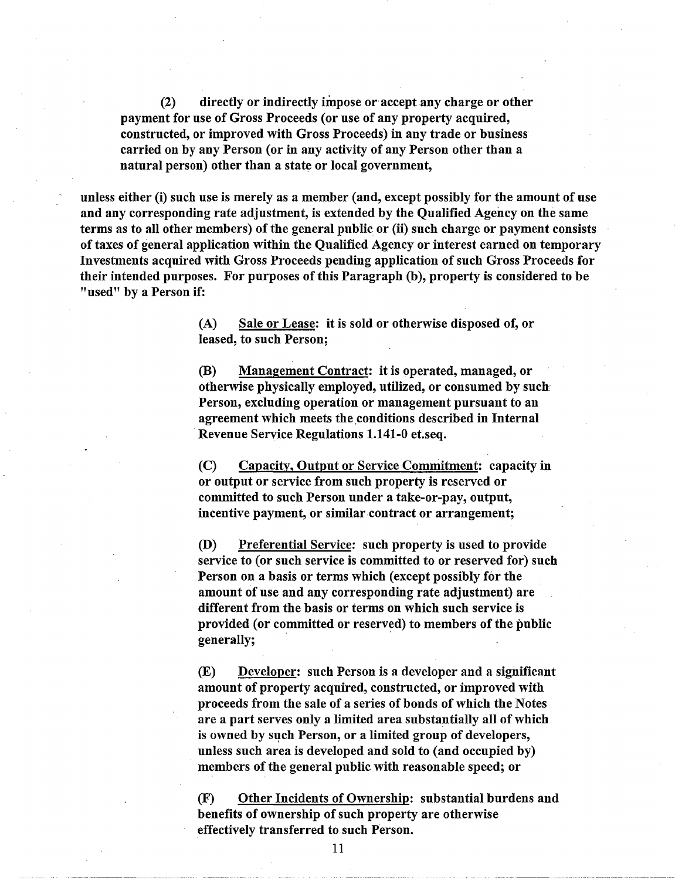(2) directly or indirectly impose or accept any charge or other payment for use of Gross Proceeds (or use of any property acquired, constructed, or improved with Gross Proceeds) in any trade or business carried on by any Person (or in any activity of any Person other than a natural person) other than a state or local government,

unless either (i) such use is merely as a member (and, except possibly for the amount of use and any corresponding rate adjustment, is extended by the Qualified Agency on the same terms as to all other members) of the general public or (ii) such charge or payment consists of taxes of general application within the Qualified Agency or interest earned on temporary Investments acquired with Gross Proceeds pending application of such Gross Proceeds for their intended purposes. For purposes of this Paragraph (b), property is considered to be "used" by a Person if:

> (A) Sale or Lease: it is sold or otherwise disposed of, or leased, to such Person;

(B) Management Contract: it is operated, managed, or otherwise physically employed, utilized, or consumed by sucb Person, excluding operation or management pursuant to an agreement which meets the conditions described in Internal Revenue Service Regulations 1.141-0 et.seq.

(C) Capacity, Output or Service Commitment: capacity in or output or service from such property is reserved or committed to such Person under a take-or-pay, output, incentive payment, or similar contract or arrangement;

(D) Preferential Service: such property is used to provide service to (or such service is committed to or reserved for) such Person on a basis or terms which (except possibly for the amount of use and any corresponding rate adjustment) are different from the basis or terms on which such service is provided (or committed or reserved) to members of the public generally;

(E) Developer: such Person is a developer and a significant amount of property acquired, constructed, or improved with proceeds from the sale of a series of bonds of which the Notes are a part serves only a limited area substantially all of which is owned by such Person, or a limited group of developers, . unless such area is developed and sold to (and occupied by) members of the general public with reasonable speed; or

(F) Other Incidents of Ownership: substantial burdens and benefits of ownership of such property are otherwise effectively transferred to such Person.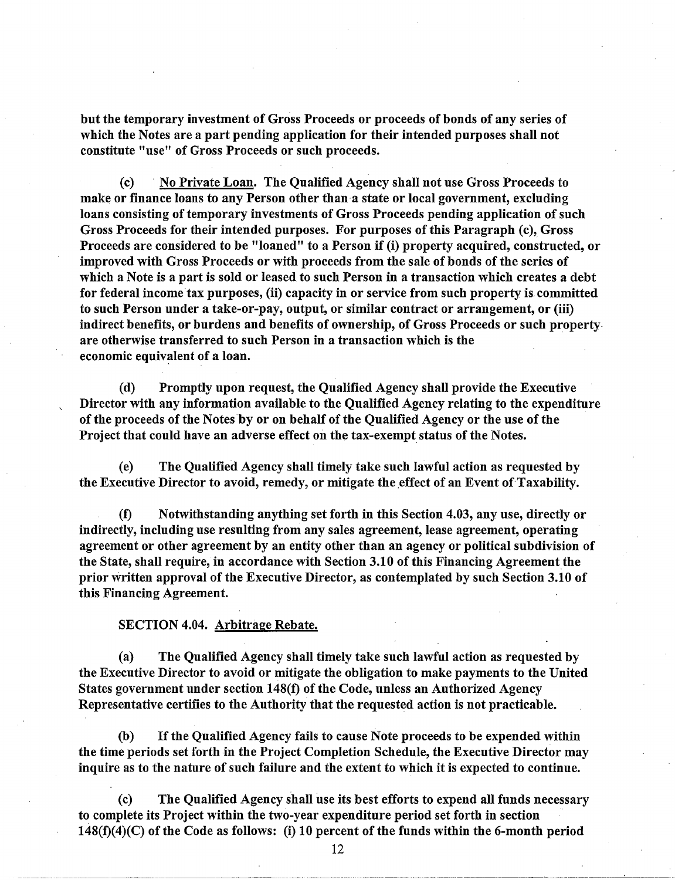but the temporary investment of Gross Proceeds or proceeds of bonds of any series of which the Notes are a part pending application for their intended purposes shall not constitute "use" of Gross Proceeds or such proceeds.

(c) · No Private Loan. The Qualified Agency shall not use Gross Proceeds to make or finance loans to any Person other than a state or local government, excluding loans consisting of temporary investments of Gross Proceeds pending application of such Gross Proceeds for their intended purposes. For purposes of this Paragraph (c), Gross Proceeds are considered to be "loaned" to a Person if (i) property acquired, constructed, or improved with Gross Proceeds or with proceeds from the sale of bonds of the series of which a Note is a part is sold or leased to such Person in a transaction which creates a debt for federal income tax purposes, (ii) capacity in or service from such property is committed to such Person under a take-or-pay, output, or similar contract or arrangement, or (iii) indirect benefits, or burdens and benefits of ownership, of Gross Proceeds or such property. are otherwise transferred to such Person in a transaction which is the economic equivalent of a loan.

(d) Promptly upon request, the Qualified Agency shall provide the Executive Director with any information available to the Qualified Agency relating to the expenditure of the proceeds of the Notes by or on behalf of the Qualified Agency or the use of the Project that could have an adverse effect on the tax-exempt status of the Notes.

(e) The Qualified Agency shall timely take such lawful action as requested by the Executive Director to avoid, remedy, or mitigate the effect of an Event of Taxability.

(f) Notwithstanding anything set forth in this Section 4.03, any use, directly or indirectly, including use resulting from any sales agreement, lease agreement, operating agreement or other agreement by an entity other than an agency or political subdivision of the State, shall require, in accordance with Section 3.10 of this Financing Agreement the prior written approval of the Executive Director, as contemplated by such Section 3.10 of this Financing Agreement.

#### SECTION 4.04. Arbitrage Rebate.

(a) The Qualified Agency shall timely take such lawful action as requested by the Executive Director to avoid or mitigate the obligation to make payments to the United States government under section 148(f) of the Code, unless an Authorized Agency Representative certifies to the Authority that the requested action is not practicable.

(b) If the Qualified Agency fails to cause Note proceeds to be expended within the time periods set forth in the Project Completion Schedule, the Executive Director may inquire as to the nature of such failure and the extent to which it is expected to continue.

(c) The Qualified Agency shall use its best efforts to expend all funds necessary to complete its Project within the two-year expenditure period set forth in section  $148(f)(4)(C)$  of the Code as follows: (i) 10 percent of the funds within the 6-month period

12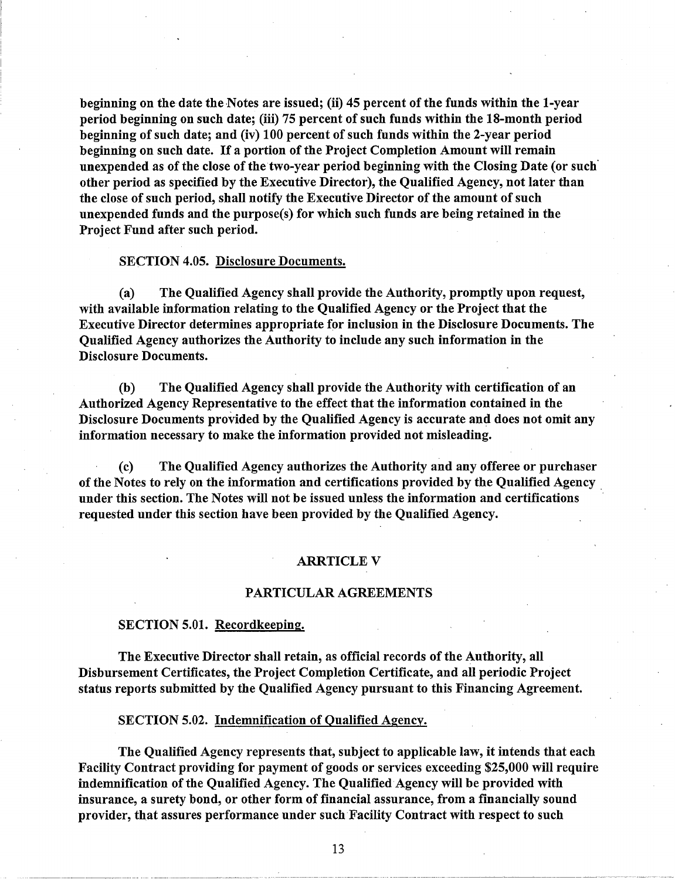beginning on the date the Notes are issued; (ii) 45 percent of the funds within the 1-year period beginning on such date; (iii) 75 percent of such funds within the 18-month period beginning of such date; and (iv) 100 percent of such funds within the 2-year period beginning on such date. If a portion of the Project Completion Amount will remain unexpended as of the close of the two-year period beginning with the Closing Date (or such· other period as specified by the Executive Director), the Qualified Agency, not later than the close of such period, shall notify the Executive Director of the amount of such unexpended funds and the purpose(s) for which such funds are being retained in the Project Fund after such period.

#### SECTION 4.05. Disclosure Documents.

(a) The Qualified Agency shall provide the Authority, promptly upon request, with available information relating to the Qualified Agency or the Project that the Executive Director determines appropriate for inclusion in the Disclosure Documents. The Qualified Agency authorizes the Authority to include any such information in the Disclosure Documents.

(b) The Qualified Agency shall provide the Authority with certification of an Authorized Agency Representative to the effect that the information contained in the Disclosure Documents provided by the Qualified Agency is accurate and does not omit any information necessary to make the information provided not misleading.

(c) The Qualified Agency authorizes the Authority and any offeree or purchaser of the Notes to rely on the information and certifications provided by the Qualified Agency . under this section. The Notes will not be issued unless the information and certifications requested under this section have been provided by the Qualified Agency.

#### **ARRTICLE V**

#### PARTICULAR AGREEMENTS

#### SECTION 5.01. Recordkeeping.

The Executive Director shall retain, as official records of the Authority, all Disbursement Certificates, the Project Completion Certificate, and all periodic Project status reports submitted by the Qualified Agency pursuant to this Financing Agreement.

SECTION 5.02. Indemnification of Qualified Agency.

The Qualified Agency represents that, subject to applicable law, it intends that each Facility Contract providing for payment of goods or services exceeding \$25,000 will require indemnification of the Qualified Agency. The Qualified Agency will be provided with insurance, a surety bond, or other form of financial assurance, from a financially sound provider, that assures performance under such Facility Contract with respect to such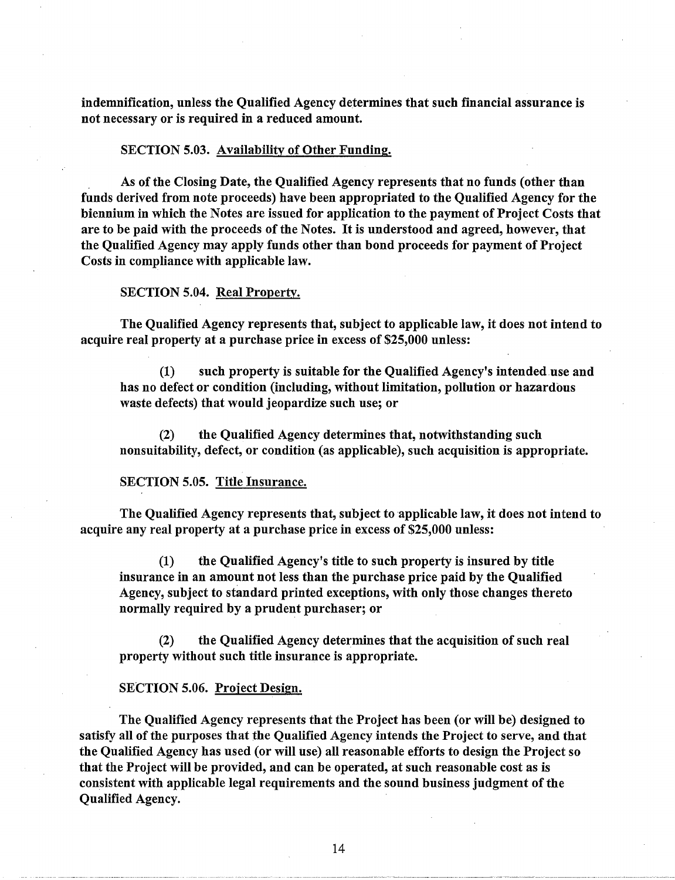indemnification, unless the Qualified Agency determines that such financial assurance is not necessary or is required in a reduced amount.

#### SECTION 5.03. Availability of Other Funding.

As of the Closing Date, the Qualified Agency represents that no funds (other than funds derived from note proceeds) have been appropriated to the Qualified Agency for the biennium in which the Notes are issued for application to the payment of Project Costs that are to be paid with the proceeds of the Notes. It is understood and agreed, however, that the Qualified Agency may apply funds other than bond proceeds for payment of Project Costs in compliance with applicable law.

### SECTION 5.04. Real Property.

The Qualified Agency represents that, subject to applicable law, it does not intend to acquire real property at a purchase price in excess of \$25,000 unless:

(1) such property is suitable for the Qualified Agency's intended.use and has no defect or condition (including, without limitation, pollution or hazardous waste defects) that would jeopardize such use; or

(2) the Qualified Agency determines that, notwithstanding such nonsuitability, defect, or condition (as applicable), such acquisition is appropriate.

#### SECTION 5.05. Title Insurance.

The Qualified Agency represents that, subject to applicable law, it does not intend to acquire any real property at a purchase price in excess of \$25,000 unless:

(1) the Qualified Agency's title to such property is insured by title insurance in an amount not less than the purchase price paid by the Qualified Agency, subject to standard printed exceptions, with only those changes thereto normally required by a prudent purchaser; or

(2) the Qualified Agency determines that the acquisition of such real property without such title insurance is appropriate.

#### SECTION 5.06. Project Design.

The Qualified Agency represents that the Project has been (or will be) designed to satisfy all of the purposes that the Qualified Agency intends the Project to serve, and that the Qualified Agency has used (or will use) all reasonable efforts to design the Project so that the Project will be provided, and can be operated, at such reasonable cost as is consistent with applicable legal requirements and the sound business judgment of the Qualified Agency.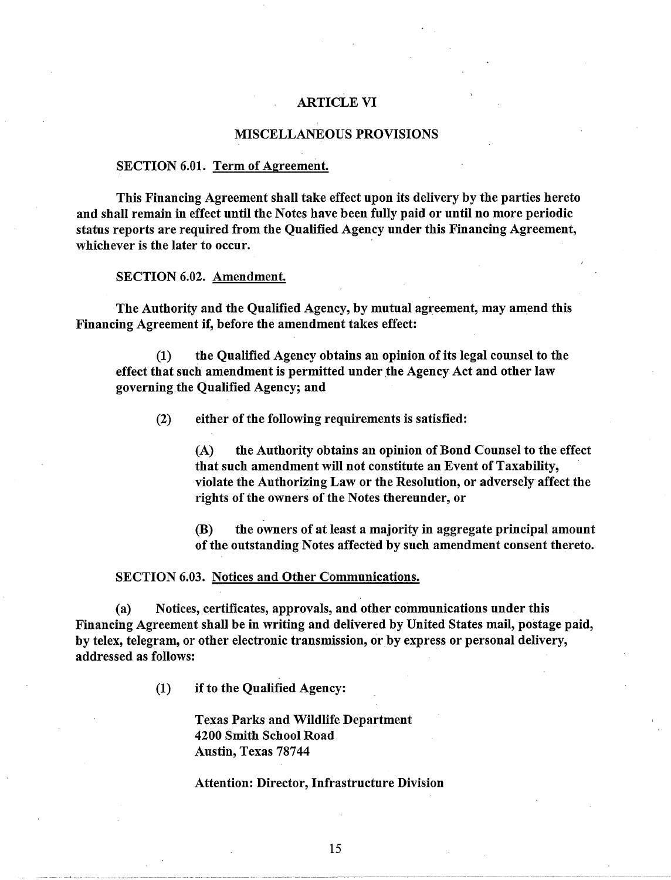### ARTICLE VI

#### MISCELLANEOUS PROVISIONS

#### SECTION 6.01. Term of Agreement.

This Financing Agreement shall take effect upon its delivery by the parties hereto and shall remain in effect until the Notes have been fully paid or until no more periodic status reports are required from the Qualified Agency under this Financing Agreement, whichever is the later to occur.

SECTION 6.02. Amendment.

The Authority and the Qualified Agency, by mutual agreement, may amend this Financing Agreement if, before the amendment takes effect:

(1) the Qualified Agency obtains an opinion of its legal counsel to the effect that such amendment is permitted under the Agency Act and other law governing the Qualified Agency; and

(2) either of the following requirements is satisfied:

(A) the Authority obtains an opinion of Bond Counsel to the effect that such amendment will not constitute an Event of Taxability, violate the Authorizing Law or the Resolution, or adversely affect the rights of the owners of the Notes thereunder, or

(B) the owners of at least a majority in aggregate principal amount of the outstanding Notes affected by such amendment consent thereto.

#### SECTION 6.03. Notices and Other Communications.

(a) Notices, certificates, approvals, and other communications under this Financing Agreement shall be in writing and delivered by United States mail, postage paid, by telex, telegram, or other electronic transmission, or by express or personal delivery, addressed as follows:

(1) if to the Qualified Agency:

Texas Parks and Wildlife Department 4200 Smith School Road Austin, Texas 78744

#### Attention: Director, Infrastructure Division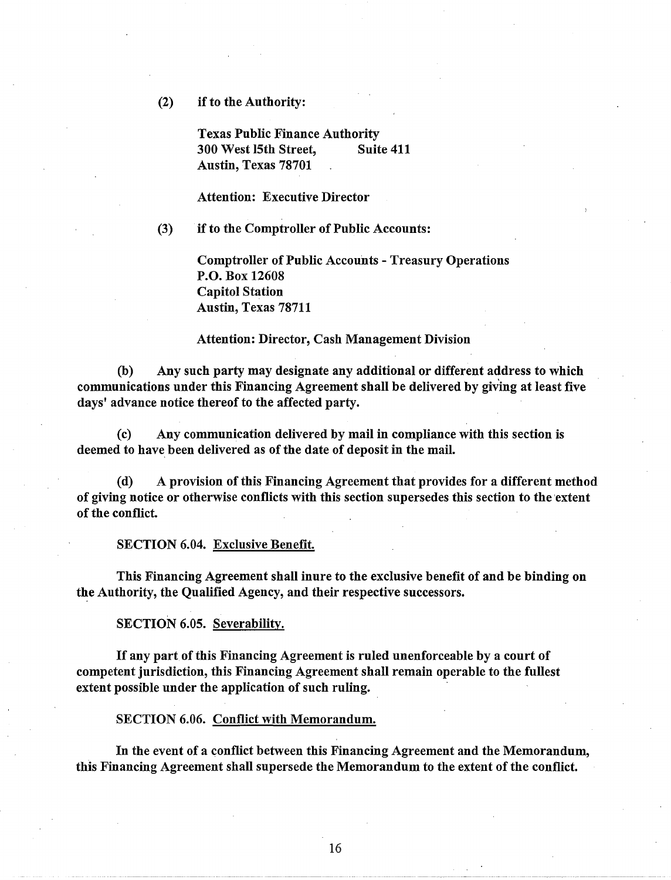(2) if to the Authority:

Texas Public Finance Authority 300 West 15th Street, Suite 411 Austin, Texas 78701

Attention: Executive Director

(3) if to the Comptroller of Public Accounts:

Comptroller of Public Accounts - Treasury Operations P.O. Box 12608 Capitol Station Austin, Texas 78711

### Attention: Director, Cash Management Division

(b) Any such party may designate any additional or different address to which communications under this Financing Agreement shall be delivered by giv'ing at least five days' advance notice thereof to the affected party.

(c) Any communication delivered by mail in compliance with this section is deemed to have been delivered as of the date of deposit in the mail.

(d) A provision of this Financing Agreement that provides for a different method of giving notice or otherwise conflicts with this section supersedes this section to the ·extent of the conflict.

SECTION 6.04. Exclusive Benefit.

This Financing Agreement shall inure to the exclusive benefit of and be binding on the Authority, the Qualified Agency, and their respective successors.

SECTION 6.05. Severability.

If any part of this Financing Agreement is ruled unenforceable by a court of competent jurisdiction, this Financing Agreement shall remain operable to the fullest extent possible under the application of such ruling.

SECTION 6.06. Conflict with Memorandum.

In the event of a conflict between this Financing Agreement and the Memorandum, this Financing Agreement shall supersede the Memorandum to the extent of the conflict.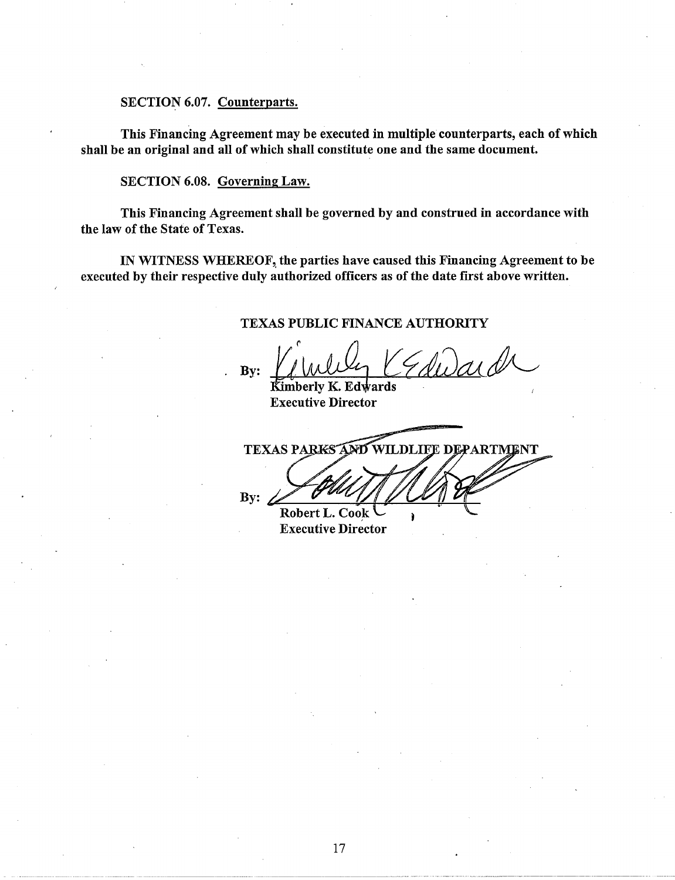#### SECTION 6.07. Counterparts.

This Financing Agreement may be executed in multiple counterparts, each of which shall be an original and all of which shall constitute one and the same document.

SECTION 6.08. Governing Law.

This Financing Agreement shall be governed by and construed in accordance with the law of the State of Texas.

IN WITNESS WHEREOF, the parties have caused this Financing Agreement to be executed by their respective duly authorized officers as of the date first above written.

### TEXAS PUBLIC FINANCE AUTHORITY

By: Kimberly K. Edwards

Executive Director

TEXAS PARKS AND WILDLIFE DEPARTMENT

By:  $\angle$ 

ì

Robert L. Cook Executive Director

------------ -- ----------------·--·-·-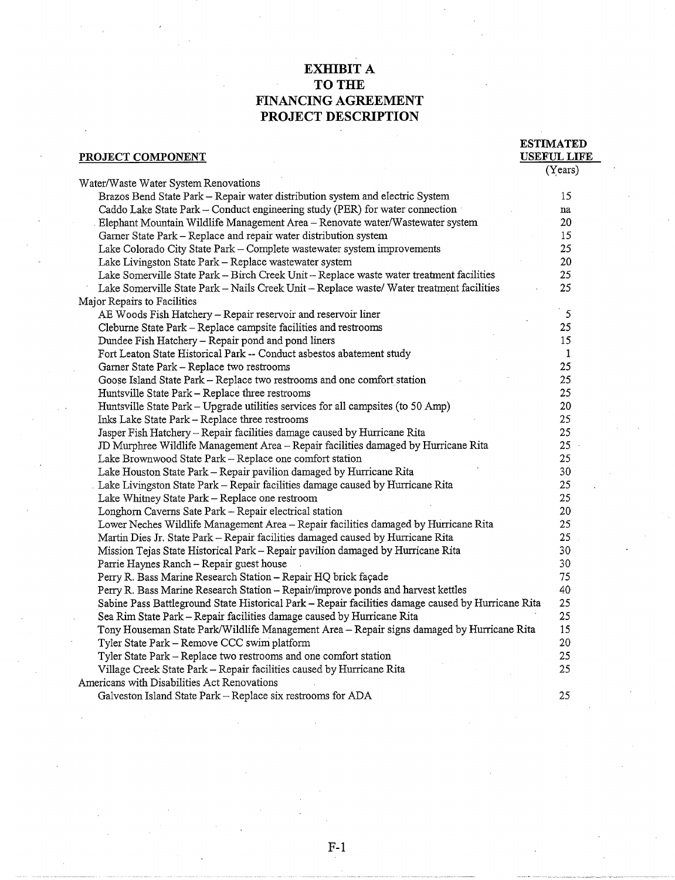### **EXHIBIT A TO THE FINANCING AGREEMENT PROJECT DESCRIPTION**

**ESTIMATED** 

#### **PROJECT COMPONENT**  Water/Waste Water System Renovations **USEFUL LIFE**  (Years) Brazos Bend State Park- Repair water distribution system and electric System 15 Caddo Lake State Park – Conduct engineering study (PER) for water connection relation of the State Park – Conduct engineering study (PER) for water/Wastewater system and the Danis (20  $\,$ Elephant Mountain Wildlife Management Area- Renovate water/Wastewater system 20 Garner State Park – Replace and repair water distribution system<br>Lake Colorado City State Park – Complete wastewater system improvements 25 Lake Colorado City State Park – Complete wastewater system improvements 25<br>Lake Livingston State Park – Replace wastewater system 20 Lake Livingston State Park - Replace wastewater system Lake Somerville State Park- Birch Creek Unit- Replace waste water treatment facilities 25 Lake Somerville State Park- Nails Creek Unit- Replace waste/ Water treatment facilities 25 Major Repairs to Facilities AE Woods Fish Hatchery – Repair reservoir and reservoir liner 5<br>Cleburne State Park – Replace campsite facilities and restrooms 5 Cleburne State Park - Replace campsite facilities and restrooms Dundee Fish Hatchery – Repair pond and pond liners 15 and 15 and 15 and 15 and 15 and 15 and 15 and 15 and 15 and 15 and 15 and 15 and 15 and 16 and 16 and 16 and 16 and 16 and 16 and 16 and 16 and 16 and 16 and 16 and 16 Fort Leaton State Historical Park-- Conduct asbestos abatement study 1 Garner State Park – Replace two restrooms<br>Goose Island State Park – Replace two restrooms and one comfort station 25 Goose Island State Park – Replace two restrooms and one comfort station 25<br>Huntsville State Park – Replace three restrooms 25 Huntsville State Park - Replace three restrooms Huntsville State Park – Upgrade utilities services for all campsites (to 50 Amp) 20<br>Inks Lake State Park – Replace three restrooms 25 Inks Lake State Park - Replace three restrooms Jasper Fish Hatchery- Repair facilities damage caused by Hurricane Rita 25 JD Murphree Wildlife Management Area- Repair facilities damaged by Hurricane Rita 25 Lake Brownwood State Park- Replace one comfort station 25 Lake Houston State Park- Repair pavilion damaged by Hurricane Rita 30 . Lake Livingston State Park- Repair facilities damage caused by Hurricane Rita 25 Lake Whitney State Park- Replace one restroom 25 Longhorn Caverns Sate Park – Repair electrical station 20<br>
Lower Neches Wildlife Management Area – Repair facilities damaged by Hurricane Rita 25 Lower Neches Wildlife Management Area- Repair facilities damaged by Hurricane Rita 25 Martin Dies Jr. State Park- Repair facilities damaged caused by Hurricane Rita 25 Mission Tejas State Historical Park- Repair pavilion damaged by Hurricane Rita 30 Parrie Haynes Ranch – Repair guest house 30 30 Perry R. Bass Marine Research Station - Repair HQ brick façade 75 Perry R. Bass Marine Research Station – Repair/improve ponds and harvest kettles 40<br>Sabine Pass Battleground State Historical Park – Repair facilities damage caused by Hurricane Rita 25 Sabine Pass Battleground State Historical Park- Repair facilities damage caused by Hurricane Rita 25 Sea Rim State Park- Repair facilities damage caused by Hurricane Rita 25 Tony Houseman State Park/Wildlife Management Area- Repair signs damaged by Hurricane Rita 15 Tyler State Park- Remove CCC swim platform 20 Tyler State Park- Replace two restroorns and one comfort station 25 Village Creek State Park- Repair facilities caused by Hurricane Rita 25 Americans with Disabilities Act Renovations Galveston Island State Park – Replace six restrooms for ADA 25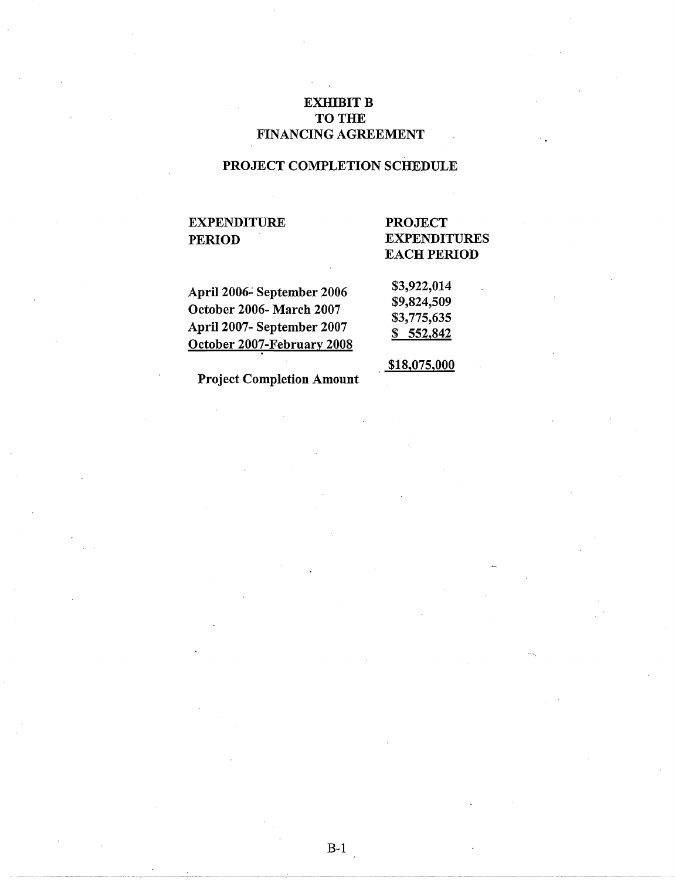## **EXHIBIT B** TO THE FINANCING AGREEMENT

## PROJECT COMPLETION SCHEDULE

# EXPENDITURE PERIOD

# PROJECT EXPENDITURES EACH PERIOD

..

April 2006-September 2006 October 2006- March 2007 April 2007- September 2007 October 2007-February 2008 \$3,922,014 \$9,824,509 \$3,775,635 \$ 552,842

\$18,075,000

Project Completion Amount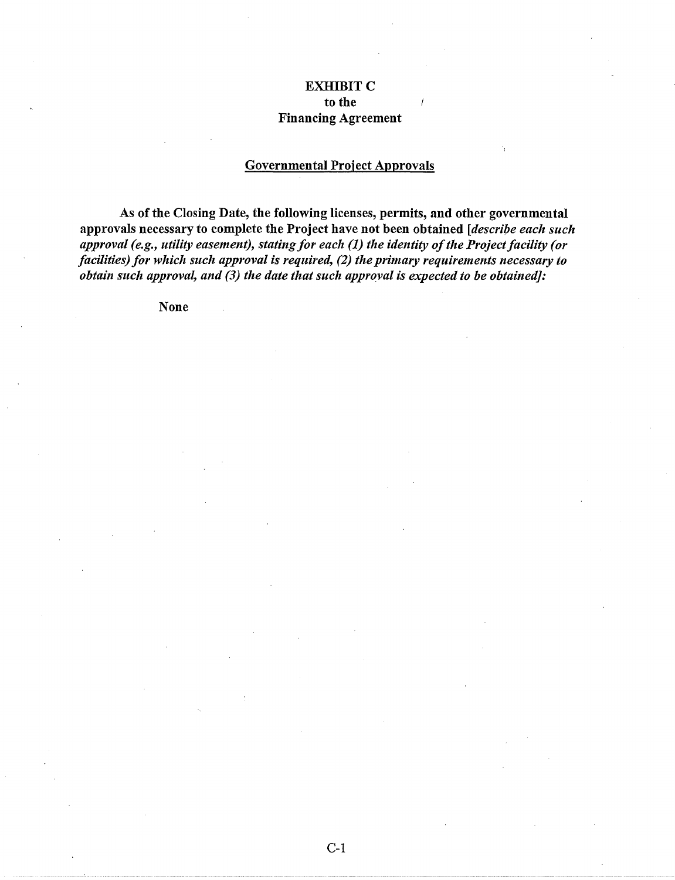### **EXHIBIT C** to the Financing Agreement

#### Governmental Project Approvals

As of the Closing Date, the following licenses, permits, and other governmental approvals necessary to complete the Project have not been obtained *[describe each such approval (e.g., utility easement), stating for each (1) the identity of the Project facility (or facilities) for which such approval is required, (2) the primary requirements necessary to obtain such approval, and (3) the date that such approyal is expected to be obtained]:* 

None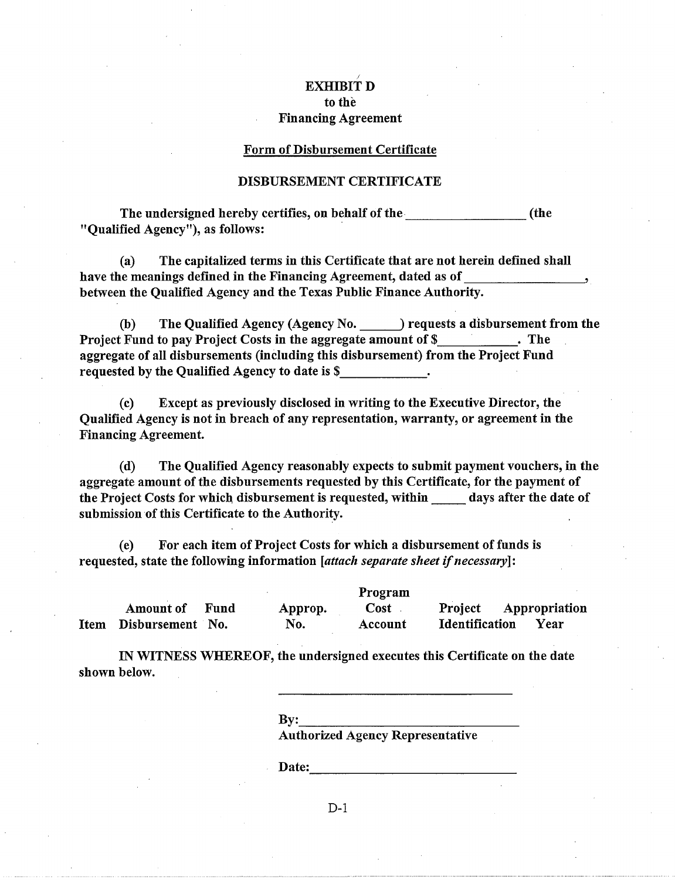# exhibit d to the Financing Agreement

#### Form of Disbursement Certificate

#### DISBURSEMENT CERTIFICATE

The undersigned hereby certifies, on behalf of the metal control (the "Qualified Agency"), as follows: ·

(a) The capitalized terms in this Certificate that are not herein defined shall have the meanings defined in the Financing Agreement, dated as of between the Qualified Agency and the Texas Public Finance Authority.

(b) The Qualified Agency (Agency No. ) requests a disbursement from the Project Fund to pay Project Costs in the aggregate amount of \$ . The aggregate of all disbursements (including this disbursement) from the Project Fund requested by the Qualified Agency to date is \$

(c) Except as previously disclosed in writing to the Executive Director, the Qualified Agency is not in breach of any representation, warranty, or agreement in the Financing Agreement.

(d) The Qualified Agency reasonably expects to submit payment vouchers, in the aggregate amount of the disbursements requested by this Certificate, for the payment of the Project Costs for which, disbursement is requested, within days after the date of submission of this Certificate to the Authority.

(e) For each item of Project Costs for which a disbursement of funds is requested, state the following information *[attach separate sheet* if *necessary]:* 

Amount of Fund Item Disbursement No. Approp. No. Program **Cost** Account Project Appropriation Identification Year

IN WITNESS WHEREOF, the undersigned executes this Certificate on the date shown below.

 $Bv:$ 

Authorized Agency Representative

Date:

D-1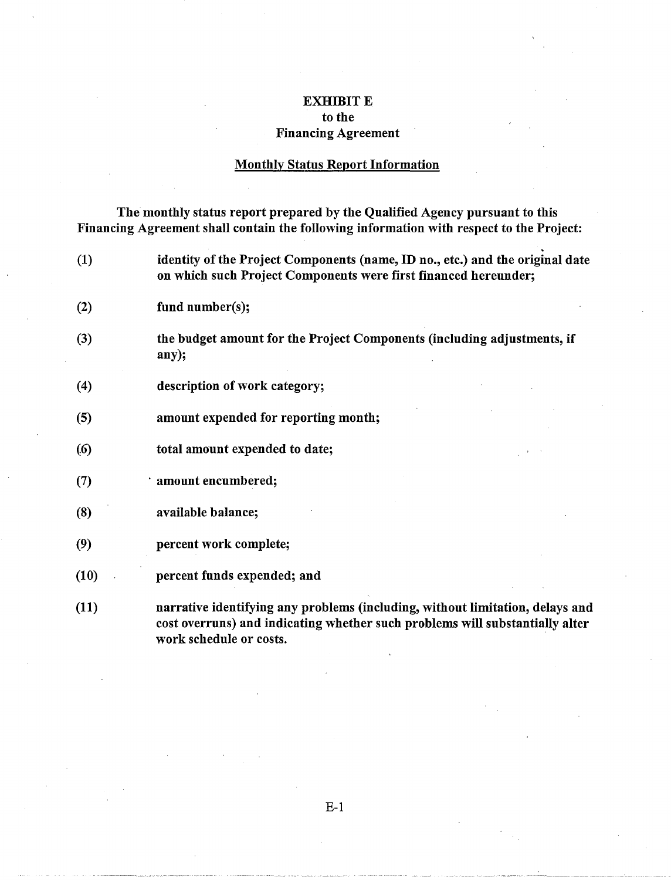### EXHIBIT E to the Financing Agreement

# Monthly Status Report Information

The monthly status report prepared by the Qualified Agency pursuant to this Financing Agreement shall contain the following information with respect to the Project:

| (1)  | identity of the Project Components (name, ID no., etc.) and the original date<br>on which such Project Components were first financed hereunder;                                         |
|------|------------------------------------------------------------------------------------------------------------------------------------------------------------------------------------------|
| (2)  | fund number(s);                                                                                                                                                                          |
| (3)  | the budget amount for the Project Components (including adjustments, if<br>any);                                                                                                         |
| (4)  | description of work category;                                                                                                                                                            |
| (5)  | amount expended for reporting month;                                                                                                                                                     |
| (6)  | total amount expended to date;                                                                                                                                                           |
| (7)  | amount encumbered;                                                                                                                                                                       |
| (8)  | available balance;                                                                                                                                                                       |
| (9)  | percent work complete;                                                                                                                                                                   |
| (10) | percent funds expended; and                                                                                                                                                              |
| (11) | narrative identifying any problems (including, without limitation, delays and<br>cost overruns) and indicating whether such problems will substantially alter<br>work schedule or costs. |